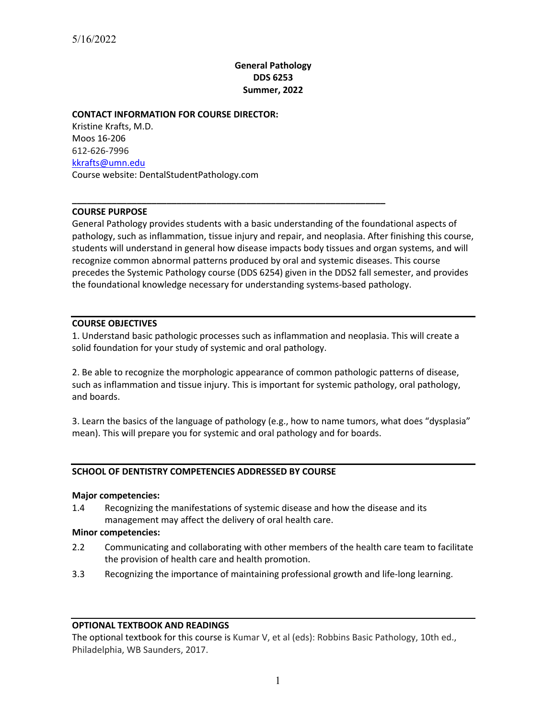# **General Pathology DDS 6253 Summer, 2022**

## **CONTACT INFORMATION FOR COURSE DIRECTOR:**

Kristine Krafts, M.D. Moos 16-206 612-626-7996 kkrafts@umn.edu Course website: DentalStudentPathology.com

## **COURSE PURPOSE**

General Pathology provides students with a basic understanding of the foundational aspects of pathology, such as inflammation, tissue injury and repair, and neoplasia. After finishing this course, students will understand in general how disease impacts body tissues and organ systems, and will recognize common abnormal patterns produced by oral and systemic diseases. This course precedes the Systemic Pathology course (DDS 6254) given in the DDS2 fall semester, and provides the foundational knowledge necessary for understanding systems-based pathology.

**\_\_\_\_\_\_\_\_\_\_\_\_\_\_\_\_\_\_\_\_\_\_\_\_\_\_\_\_\_\_\_\_\_\_\_\_\_\_\_\_\_\_\_\_\_\_\_\_\_\_\_\_\_\_\_\_\_\_\_\_\_\_\_**

## **COURSE OBJECTIVES**

1. Understand basic pathologic processes such as inflammation and neoplasia. This will create a solid foundation for your study of systemic and oral pathology.

2. Be able to recognize the morphologic appearance of common pathologic patterns of disease, such as inflammation and tissue injury. This is important for systemic pathology, oral pathology, and boards.

3. Learn the basics of the language of pathology (e.g., how to name tumors, what does "dysplasia" mean). This will prepare you for systemic and oral pathology and for boards.

# **SCHOOL OF DENTISTRY COMPETENCIES ADDRESSED BY COURSE**

### **Major competencies:**

1.4 Recognizing the manifestations of systemic disease and how the disease and its management may affect the delivery of oral health care.

### **Minor competencies:**

- 2.2 Communicating and collaborating with other members of the health care team to facilitate the provision of health care and health promotion.
- 3.3 Recognizing the importance of maintaining professional growth and life-long learning.

### **OPTIONAL TEXTBOOK AND READINGS**

The optional textbook for this course is Kumar V, et al (eds): Robbins Basic Pathology, 10th ed., Philadelphia, WB Saunders, 2017.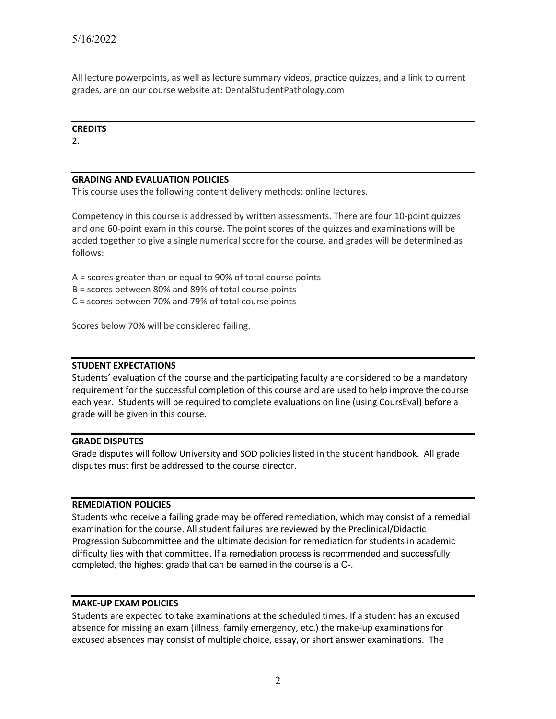All lecture powerpoints, as well as lecture summary videos, practice quizzes, and a link to current grades, are on our course website at: DentalStudentPathology.com

### **CREDITS**

2.

# **GRADING AND EVALUATION POLICIES**

This course uses the following content delivery methods: online lectures.

Competency in this course is addressed by written assessments. There are four 10-point quizzes and one 60-point exam in this course. The point scores of the quizzes and examinations will be added together to give a single numerical score for the course, and grades will be determined as follows:

- A = scores greater than or equal to 90% of total course points
- B = scores between 80% and 89% of total course points
- C = scores between 70% and 79% of total course points

Scores below 70% will be considered failing.

## **STUDENT EXPECTATIONS**

Students' evaluation of the course and the participating faculty are considered to be a mandatory requirement for the successful completion of this course and are used to help improve the course each year. Students will be required to complete evaluations on line (using CoursEval) before a grade will be given in this course.

## **GRADE DISPUTES**

Grade disputes will follow University and SOD policies listed in the student handbook. All grade disputes must first be addressed to the course director.

## **REMEDIATION POLICIES**

Students who receive a failing grade may be offered remediation, which may consist of a remedial examination for the course. All student failures are reviewed by the Preclinical/Didactic Progression Subcommittee and the ultimate decision for remediation for students in academic difficulty lies with that committee. If a remediation process is recommended and successfully completed, the highest grade that can be earned in the course is a C-.

## **MAKE-UP EXAM POLICIES**

Students are expected to take examinations at the scheduled times. If a student has an excused absence for missing an exam (illness, family emergency, etc.) the make-up examinations for excused absences may consist of multiple choice, essay, or short answer examinations. The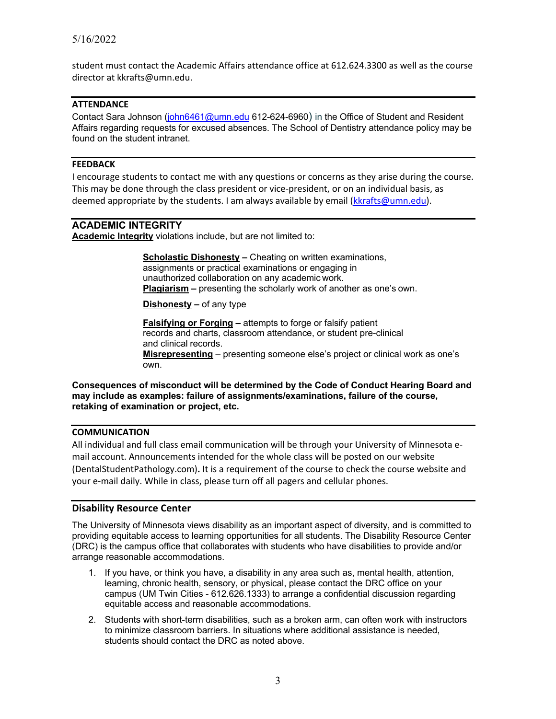student must contact the Academic Affairs attendance office at 612.624.3300 as well as the course director at kkrafts@umn.edu.

# **ATTENDANCE**

Contact Sara Johnson (john6461@umn.edu 612-624-6960) in the Office of Student and Resident Affairs regarding requests for excused absences. The School of Dentistry attendance policy may be found on the student intranet.

# **FEEDBACK**

I encourage students to contact me with any questions or concerns as they arise during the course. This may be done through the class president or vice-president, or on an individual basis, as deemed appropriate by the students. I am always available by email (kkrafts@umn.edu).

# **ACADEMIC INTEGRITY**

**Academic Integrity** violations include, but are not limited to:

 **Scholastic Dishonesty –** Cheating on written examinations, assignments or practical examinations or engaging in unauthorized collaboration on any academic work. **Plagiarism –** presenting the scholarly work of another as one's own.

**Dishonesty –** of any type

 **Falsifying or Forging –** attempts to forge or falsify patient records and charts, classroom attendance, or student pre-clinical and clinical records.

 **Misrepresenting** – presenting someone else's project or clinical work as one's own.

**Consequences of misconduct will be determined by the Code of Conduct Hearing Board and may include as examples: failure of assignments/examinations, failure of the course, retaking of examination or project, etc.**

### **COMMUNICATION**

All individual and full class email communication will be through your University of Minnesota email account. Announcements intended for the whole class will be posted on our website (DentalStudentPathology.com)**.** It is a requirement of the course to check the course website and your e-mail daily. While in class, please turn off all pagers and cellular phones.

### **Disability Resource Center**

The University of Minnesota views disability as an important aspect of diversity, and is committed to providing equitable access to learning opportunities for all students. The Disability Resource Center (DRC) is the campus office that collaborates with students who have disabilities to provide and/or arrange reasonable accommodations.

- 1. If you have, or think you have, a disability in any area such as, mental health, attention, learning, chronic health, sensory, or physical, please contact the DRC office on your campus (UM Twin Cities - 612.626.1333) to arrange a confidential discussion regarding equitable access and reasonable accommodations.
- 2. Students with short-term disabilities, such as a broken arm, can often work with instructors to minimize classroom barriers. In situations where additional assistance is needed, students should contact the DRC as noted above.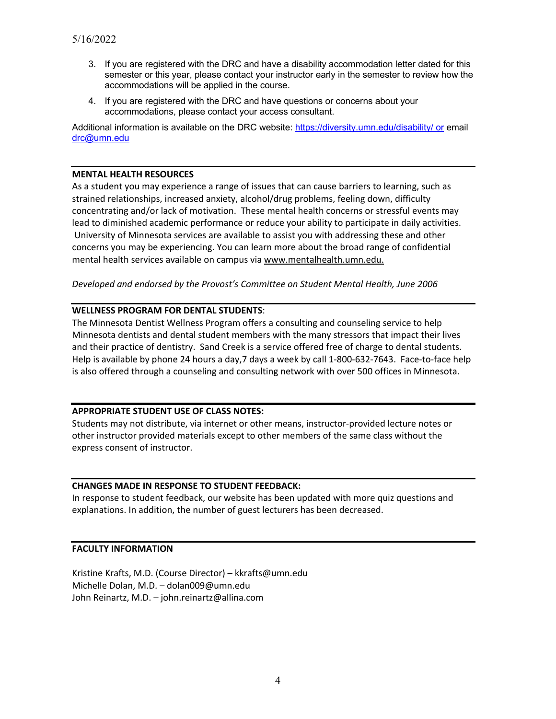- 3. If you are registered with the DRC and have a disability accommodation letter dated for this semester or this year, please contact your instructor early in the semester to review how the accommodations will be applied in the course.
- 4. If you are registered with the DRC and have questions or concerns about your accommodations, please contact your access consultant.

Additional information is available on the DRC website: https://diversity.umn.edu/disability/ or email drc@umn.edu

## **MENTAL HEALTH RESOURCES**

As a student you may experience a range of issues that can cause barriers to learning, such as strained relationships, increased anxiety, alcohol/drug problems, feeling down, difficulty concentrating and/or lack of motivation. These mental health concerns or stressful events may lead to diminished academic performance or reduce your ability to participate in daily activities. University of Minnesota services are available to assist you with addressing these and other concerns you may be experiencing. You can learn more about the broad range of confidential mental health services available on campus via www.mentalhealth.umn.edu.

*Developed and endorsed by the Provost's Committee on Student Mental Health, June 2006*

## **WELLNESS PROGRAM FOR DENTAL STUDENTS**:

The Minnesota Dentist Wellness Program offers a consulting and counseling service to help Minnesota dentists and dental student members with the many stressors that impact their lives and their practice of dentistry. Sand Creek is a service offered free of charge to dental students. Help is available by phone 24 hours a day,7 days a week by call 1-800-632-7643. Face-to-face help is also offered through a counseling and consulting network with over 500 offices in Minnesota.

## **APPROPRIATE STUDENT USE OF CLASS NOTES:**

Students may not distribute, via internet or other means, instructor-provided lecture notes or other instructor provided materials except to other members of the same class without the express consent of instructor.

## **CHANGES MADE IN RESPONSE TO STUDENT FEEDBACK:**

In response to student feedback, our website has been updated with more quiz questions and explanations. In addition, the number of guest lecturers has been decreased.

## **FACULTY INFORMATION**

Kristine Krafts, M.D. (Course Director) – kkrafts@umn.edu Michelle Dolan, M.D. – dolan009@umn.edu John Reinartz, M.D. – john.reinartz@allina.com